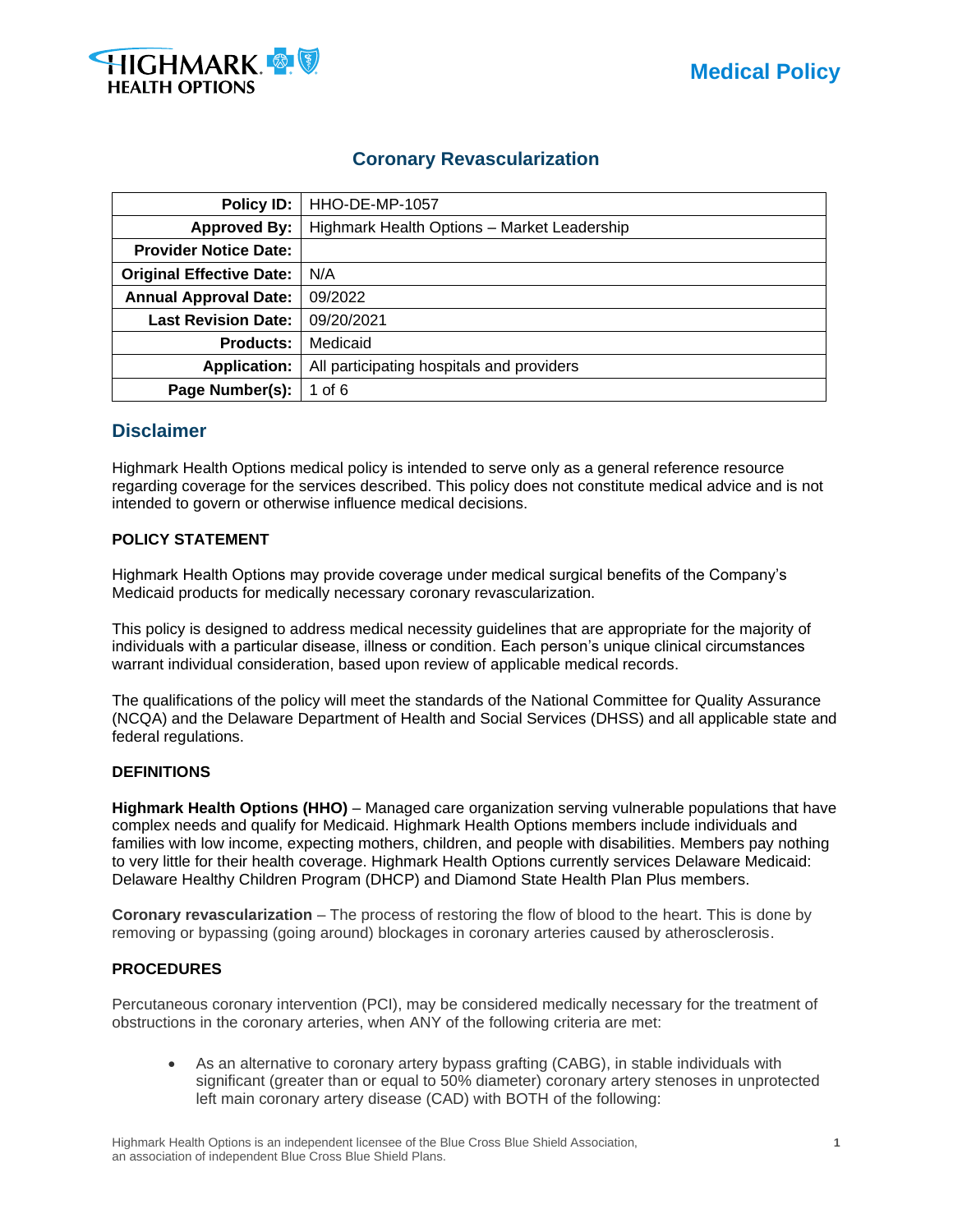

# **Coronary Revascularization**

| Policy ID:                      | HHO-DE-MP-1057                              |  |  |
|---------------------------------|---------------------------------------------|--|--|
| <b>Approved By:</b>             | Highmark Health Options - Market Leadership |  |  |
| <b>Provider Notice Date:</b>    |                                             |  |  |
| <b>Original Effective Date:</b> | N/A                                         |  |  |
| <b>Annual Approval Date:</b>    | 09/2022                                     |  |  |
| <b>Last Revision Date:</b>      | 09/20/2021                                  |  |  |
| <b>Products:</b>                | Medicaid                                    |  |  |
| <b>Application:</b>             | All participating hospitals and providers   |  |  |
| Page Number(s):                 | 1 of 6                                      |  |  |

# **Disclaimer**

Highmark Health Options medical policy is intended to serve only as a general reference resource regarding coverage for the services described. This policy does not constitute medical advice and is not intended to govern or otherwise influence medical decisions.

# **POLICY STATEMENT**

Highmark Health Options may provide coverage under medical surgical benefits of the Company's Medicaid products for medically necessary coronary revascularization.

This policy is designed to address medical necessity guidelines that are appropriate for the majority of individuals with a particular disease, illness or condition. Each person's unique clinical circumstances warrant individual consideration, based upon review of applicable medical records.

The qualifications of the policy will meet the standards of the National Committee for Quality Assurance (NCQA) and the Delaware Department of Health and Social Services (DHSS) and all applicable state and federal regulations.

# **DEFINITIONS**

**Highmark Health Options (HHO)** – Managed care organization serving vulnerable populations that have complex needs and qualify for Medicaid. Highmark Health Options members include individuals and families with low income, expecting mothers, children, and people with disabilities. Members pay nothing to very little for their health coverage. Highmark Health Options currently services Delaware Medicaid: Delaware Healthy Children Program (DHCP) and Diamond State Health Plan Plus members.

**Coronary revascularization** – The process of restoring the flow of blood to the heart. This is done by removing or bypassing (going around) blockages in coronary arteries caused by atherosclerosis.

# **PROCEDURES**

Percutaneous coronary intervention (PCI), may be considered medically necessary for the treatment of obstructions in the coronary arteries, when ANY of the following criteria are met:

• As an alternative to coronary artery bypass grafting (CABG), in stable individuals with significant (greater than or equal to 50% diameter) coronary artery stenoses in unprotected left main coronary artery disease (CAD) with BOTH of the following: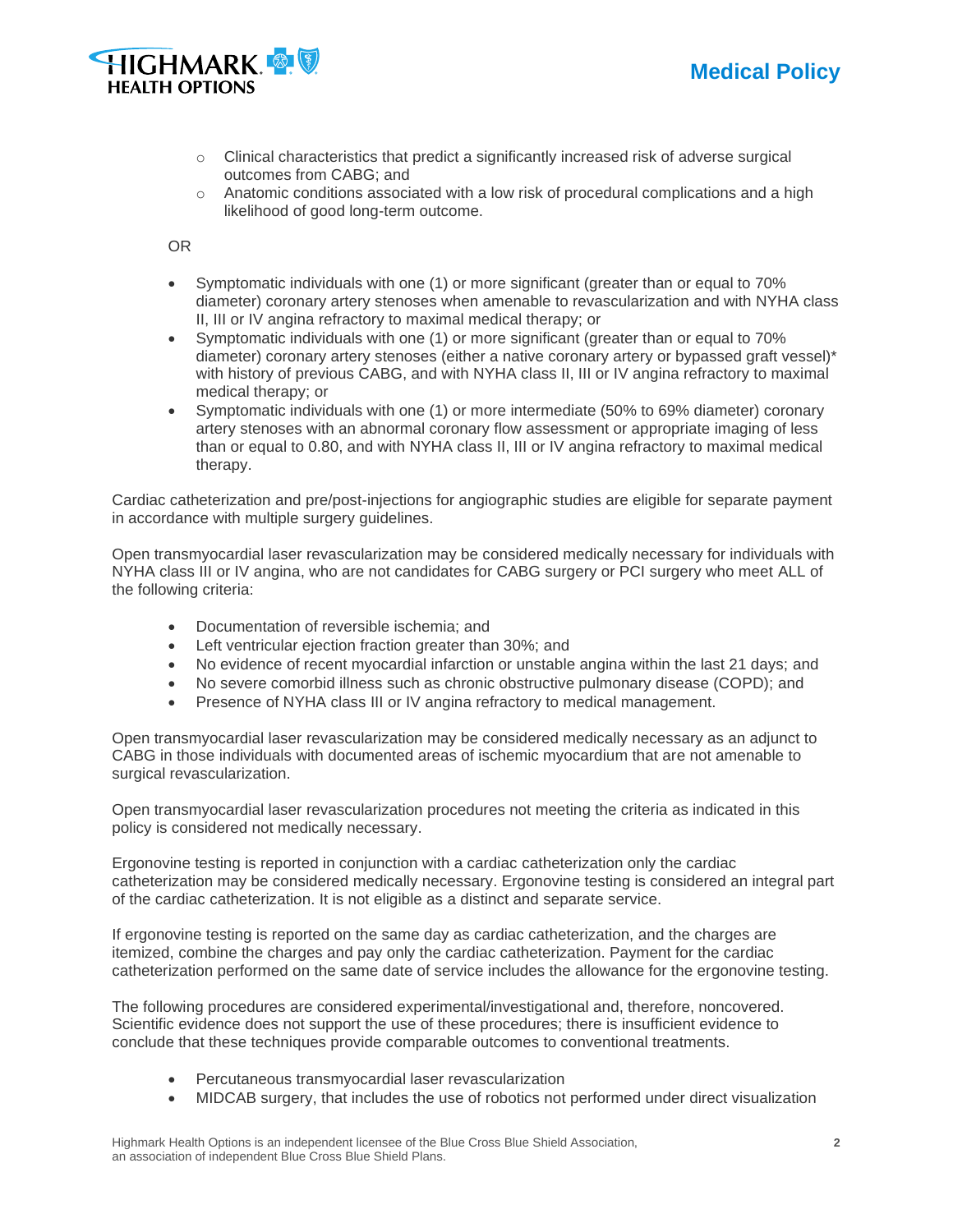



- $\circ$  Clinical characteristics that predict a significantly increased risk of adverse surgical outcomes from CABG; and
- $\circ$  Anatomic conditions associated with a low risk of procedural complications and a high likelihood of good long-term outcome.

OR

- Symptomatic individuals with one (1) or more significant (greater than or equal to 70% diameter) coronary artery stenoses when amenable to revascularization and with NYHA class II, III or IV angina refractory to maximal medical therapy; or
- Symptomatic individuals with one (1) or more significant (greater than or equal to 70% diameter) coronary artery stenoses (either a native coronary artery or bypassed graft vessel)\* with history of previous CABG, and with NYHA class II, III or IV angina refractory to maximal medical therapy; or
- Symptomatic individuals with one (1) or more intermediate (50% to 69% diameter) coronary artery stenoses with an abnormal coronary flow assessment or appropriate imaging of less than or equal to 0.80, and with NYHA class II, III or IV angina refractory to maximal medical therapy.

Cardiac catheterization and pre/post-injections for angiographic studies are eligible for separate payment in accordance with multiple surgery guidelines.

Open transmyocardial laser revascularization may be considered medically necessary for individuals with NYHA class III or IV angina, who are not candidates for CABG surgery or PCI surgery who meet ALL of the following criteria:

- Documentation of reversible ischemia; and
- Left ventricular ejection fraction greater than 30%; and
- No evidence of recent myocardial infarction or unstable angina within the last 21 days; and
- No severe comorbid illness such as chronic obstructive pulmonary disease (COPD); and
- Presence of NYHA class III or IV angina refractory to medical management.

Open transmyocardial laser revascularization may be considered medically necessary as an adjunct to CABG in those individuals with documented areas of ischemic myocardium that are not amenable to surgical revascularization.

Open transmyocardial laser revascularization procedures not meeting the criteria as indicated in this policy is considered not medically necessary.

Ergonovine testing is reported in conjunction with a cardiac catheterization only the cardiac catheterization may be considered medically necessary. Ergonovine testing is considered an integral part of the cardiac catheterization. It is not eligible as a distinct and separate service.

If ergonovine testing is reported on the same day as cardiac catheterization, and the charges are itemized, combine the charges and pay only the cardiac catheterization. Payment for the cardiac catheterization performed on the same date of service includes the allowance for the ergonovine testing.

The following procedures are considered experimental/investigational and, therefore, noncovered. Scientific evidence does not support the use of these procedures; there is insufficient evidence to conclude that these techniques provide comparable outcomes to conventional treatments.

- Percutaneous transmyocardial laser revascularization
- MIDCAB surgery, that includes the use of robotics not performed under direct visualization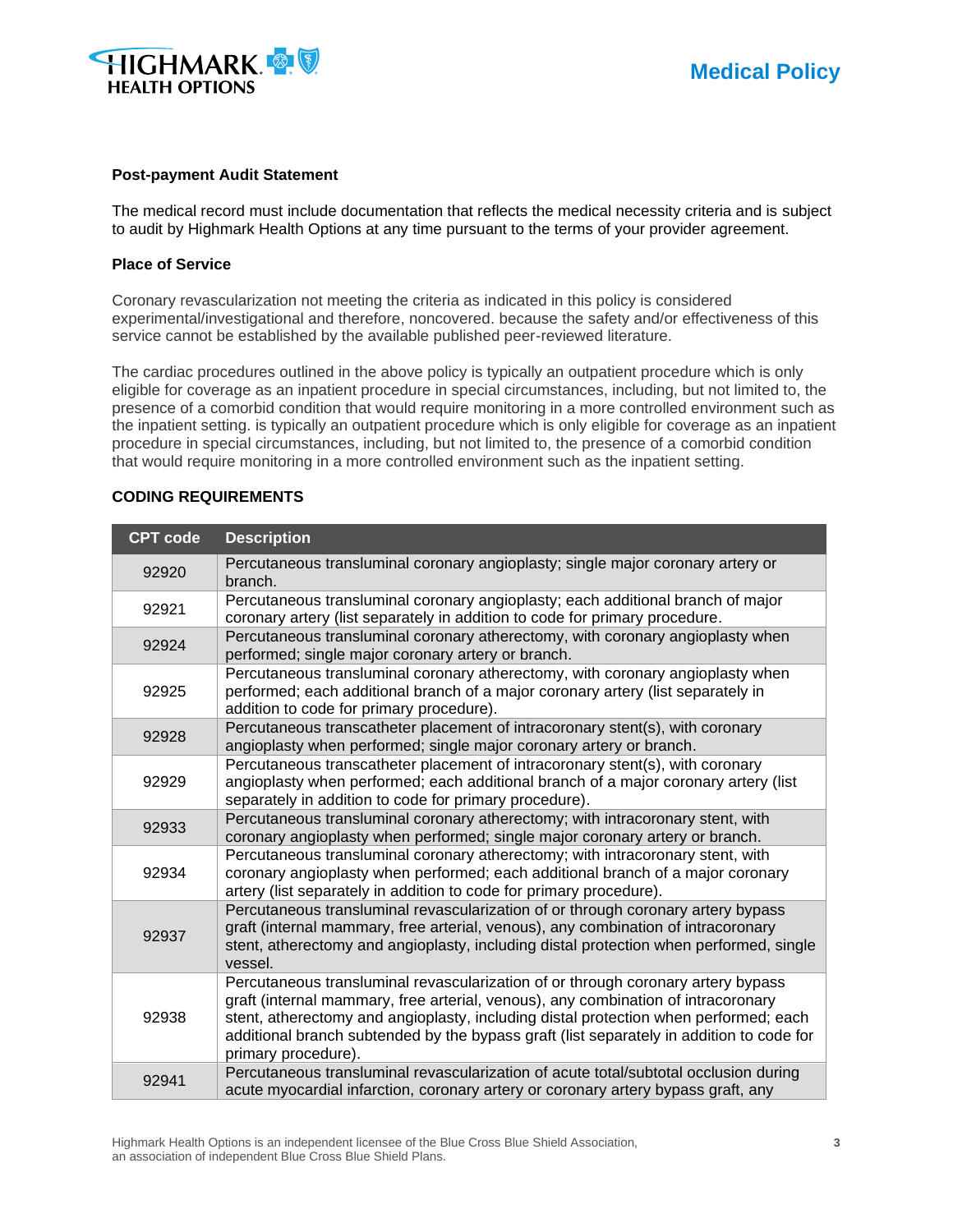

#### **Post-payment Audit Statement**

The medical record must include documentation that reflects the medical necessity criteria and is subject to audit by Highmark Health Options at any time pursuant to the terms of your provider agreement.

#### **Place of Service**

Coronary revascularization not meeting the criteria as indicated in this policy is considered experimental/investigational and therefore, noncovered. because the safety and/or effectiveness of this service cannot be established by the available published peer-reviewed literature.

The cardiac procedures outlined in the above policy is typically an outpatient procedure which is only eligible for coverage as an inpatient procedure in special circumstances, including, but not limited to, the presence of a comorbid condition that would require monitoring in a more controlled environment such as the inpatient setting. is typically an outpatient procedure which is only eligible for coverage as an inpatient procedure in special circumstances, including, but not limited to, the presence of a comorbid condition that would require monitoring in a more controlled environment such as the inpatient setting.

#### **CODING REQUIREMENTS**

| <b>CPT code</b> | <b>Description</b>                                                                                                                                                                                                                                                                                                                                                               |  |  |
|-----------------|----------------------------------------------------------------------------------------------------------------------------------------------------------------------------------------------------------------------------------------------------------------------------------------------------------------------------------------------------------------------------------|--|--|
| 92920           | Percutaneous transluminal coronary angioplasty; single major coronary artery or<br>branch.                                                                                                                                                                                                                                                                                       |  |  |
| 92921           | Percutaneous transluminal coronary angioplasty; each additional branch of major<br>coronary artery (list separately in addition to code for primary procedure.                                                                                                                                                                                                                   |  |  |
| 92924           | Percutaneous transluminal coronary atherectomy, with coronary angioplasty when<br>performed; single major coronary artery or branch.                                                                                                                                                                                                                                             |  |  |
| 92925           | Percutaneous transluminal coronary atherectomy, with coronary angioplasty when<br>performed; each additional branch of a major coronary artery (list separately in<br>addition to code for primary procedure).                                                                                                                                                                   |  |  |
| 92928           | Percutaneous transcatheter placement of intracoronary stent(s), with coronary<br>angioplasty when performed; single major coronary artery or branch.                                                                                                                                                                                                                             |  |  |
| 92929           | Percutaneous transcatheter placement of intracoronary stent(s), with coronary<br>angioplasty when performed; each additional branch of a major coronary artery (list<br>separately in addition to code for primary procedure).                                                                                                                                                   |  |  |
| 92933           | Percutaneous transluminal coronary atherectomy; with intracoronary stent, with<br>coronary angioplasty when performed; single major coronary artery or branch.                                                                                                                                                                                                                   |  |  |
| 92934           | Percutaneous transluminal coronary atherectomy; with intracoronary stent, with<br>coronary angioplasty when performed; each additional branch of a major coronary<br>artery (list separately in addition to code for primary procedure).                                                                                                                                         |  |  |
| 92937           | Percutaneous transluminal revascularization of or through coronary artery bypass<br>graft (internal mammary, free arterial, venous), any combination of intracoronary<br>stent, atherectomy and angioplasty, including distal protection when performed, single<br>vessel.                                                                                                       |  |  |
| 92938           | Percutaneous transluminal revascularization of or through coronary artery bypass<br>graft (internal mammary, free arterial, venous), any combination of intracoronary<br>stent, atherectomy and angioplasty, including distal protection when performed; each<br>additional branch subtended by the bypass graft (list separately in addition to code for<br>primary procedure). |  |  |
| 92941           | Percutaneous transluminal revascularization of acute total/subtotal occlusion during<br>acute myocardial infarction, coronary artery or coronary artery bypass graft, any                                                                                                                                                                                                        |  |  |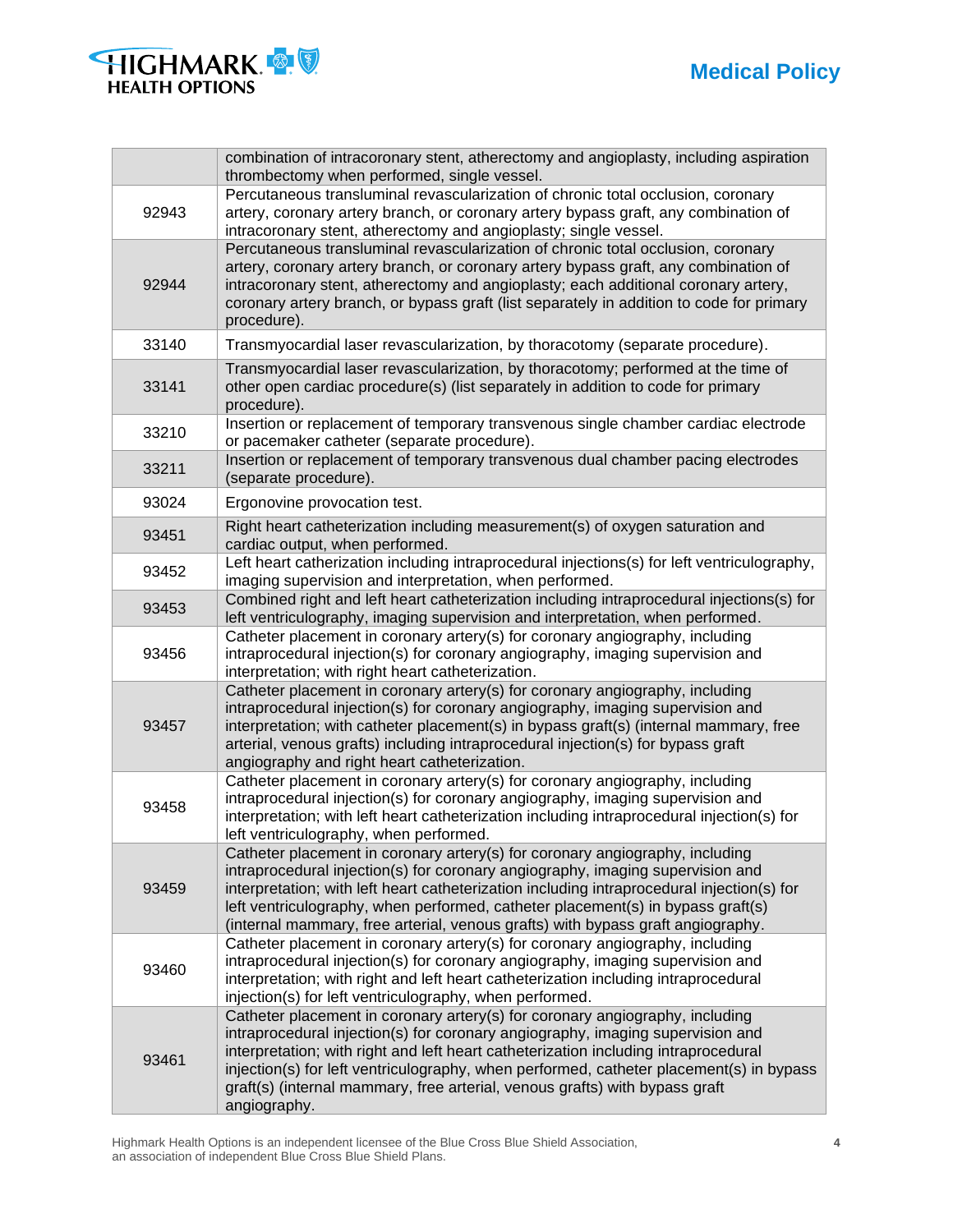



|       | combination of intracoronary stent, atherectomy and angioplasty, including aspiration<br>thrombectomy when performed, single vessel.                                                                                                                                                                                                                                                                                                            |  |
|-------|-------------------------------------------------------------------------------------------------------------------------------------------------------------------------------------------------------------------------------------------------------------------------------------------------------------------------------------------------------------------------------------------------------------------------------------------------|--|
| 92943 | Percutaneous transluminal revascularization of chronic total occlusion, coronary<br>artery, coronary artery branch, or coronary artery bypass graft, any combination of<br>intracoronary stent, atherectomy and angioplasty; single vessel.                                                                                                                                                                                                     |  |
| 92944 | Percutaneous transluminal revascularization of chronic total occlusion, coronary<br>artery, coronary artery branch, or coronary artery bypass graft, any combination of<br>intracoronary stent, atherectomy and angioplasty; each additional coronary artery,<br>coronary artery branch, or bypass graft (list separately in addition to code for primary<br>procedure).                                                                        |  |
| 33140 | Transmyocardial laser revascularization, by thoracotomy (separate procedure).                                                                                                                                                                                                                                                                                                                                                                   |  |
| 33141 | Transmyocardial laser revascularization, by thoracotomy; performed at the time of<br>other open cardiac procedure(s) (list separately in addition to code for primary<br>procedure).                                                                                                                                                                                                                                                            |  |
| 33210 | Insertion or replacement of temporary transvenous single chamber cardiac electrode<br>or pacemaker catheter (separate procedure).                                                                                                                                                                                                                                                                                                               |  |
| 33211 | Insertion or replacement of temporary transvenous dual chamber pacing electrodes<br>(separate procedure).                                                                                                                                                                                                                                                                                                                                       |  |
| 93024 | Ergonovine provocation test.                                                                                                                                                                                                                                                                                                                                                                                                                    |  |
| 93451 | Right heart catheterization including measurement(s) of oxygen saturation and<br>cardiac output, when performed.                                                                                                                                                                                                                                                                                                                                |  |
| 93452 | Left heart catherization including intraprocedural injections(s) for left ventriculography,<br>imaging supervision and interpretation, when performed.                                                                                                                                                                                                                                                                                          |  |
| 93453 | Combined right and left heart catheterization including intraprocedural injections(s) for<br>left ventriculography, imaging supervision and interpretation, when performed.                                                                                                                                                                                                                                                                     |  |
| 93456 | Catheter placement in coronary artery(s) for coronary angiography, including<br>intraprocedural injection(s) for coronary angiography, imaging supervision and<br>interpretation; with right heart catheterization.                                                                                                                                                                                                                             |  |
| 93457 | Catheter placement in coronary artery(s) for coronary angiography, including<br>intraprocedural injection(s) for coronary angiography, imaging supervision and<br>interpretation; with catheter placement(s) in bypass graft(s) (internal mammary, free<br>arterial, venous grafts) including intraprocedural injection(s) for bypass graft<br>angiography and right heart catheterization.                                                     |  |
| 93458 | Catheter placement in coronary artery(s) for coronary angiography, including<br>intraprocedural injection(s) for coronary angiography, imaging supervision and<br>interpretation; with left heart catheterization including intraprocedural injection(s) for<br>left ventriculography, when performed.                                                                                                                                          |  |
| 93459 | Catheter placement in coronary artery(s) for coronary angiography, including<br>intraprocedural injection(s) for coronary angiography, imaging supervision and<br>interpretation; with left heart catheterization including intraprocedural injection(s) for<br>left ventriculography, when performed, catheter placement(s) in bypass graft(s)<br>(internal mammary, free arterial, venous grafts) with bypass graft angiography.              |  |
| 93460 | Catheter placement in coronary artery(s) for coronary angiography, including<br>intraprocedural injection(s) for coronary angiography, imaging supervision and<br>interpretation; with right and left heart catheterization including intraprocedural<br>injection(s) for left ventriculography, when performed.                                                                                                                                |  |
| 93461 | Catheter placement in coronary artery(s) for coronary angiography, including<br>intraprocedural injection(s) for coronary angiography, imaging supervision and<br>interpretation; with right and left heart catheterization including intraprocedural<br>injection(s) for left ventriculography, when performed, catheter placement(s) in bypass<br>graft(s) (internal mammary, free arterial, venous grafts) with bypass graft<br>angiography. |  |

Highmark Health Options is an independent licensee of the Blue Cross Blue Shield Association, **4** an association of independent Blue Cross Blue Shield Plans.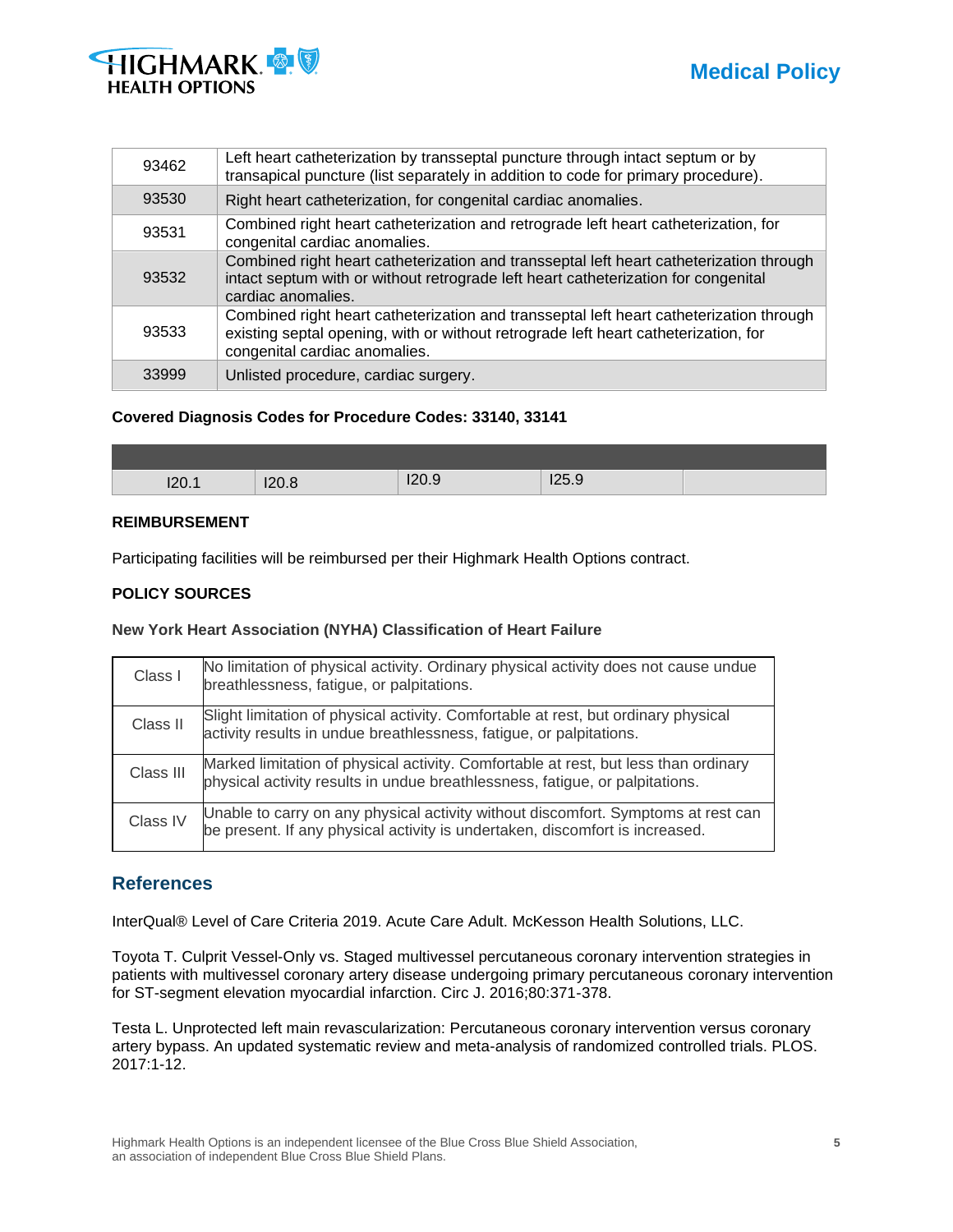



| 93462 | Left heart catheterization by transseptal puncture through intact septum or by<br>transapical puncture (list separately in addition to code for primary procedure).                                             |  |
|-------|-----------------------------------------------------------------------------------------------------------------------------------------------------------------------------------------------------------------|--|
| 93530 | Right heart catheterization, for congenital cardiac anomalies.                                                                                                                                                  |  |
| 93531 | Combined right heart catheterization and retrograde left heart catheterization, for<br>congenital cardiac anomalies.                                                                                            |  |
| 93532 | Combined right heart catheterization and transseptal left heart catheterization through<br>intact septum with or without retrograde left heart catheterization for congenital<br>cardiac anomalies.             |  |
| 93533 | Combined right heart catheterization and transseptal left heart catheterization through<br>existing septal opening, with or without retrograde left heart catheterization, for<br>congenital cardiac anomalies. |  |
| 33999 | Unlisted procedure, cardiac surgery.                                                                                                                                                                            |  |

# **Covered Diagnosis Codes for Procedure Codes: 33140, 33141**

| I20.1 | 120.8 | 12000<br>◡<br>140.J | I25.9 |  |
|-------|-------|---------------------|-------|--|

# **REIMBURSEMENT**

Participating facilities will be reimbursed per their Highmark Health Options contract.

# **POLICY SOURCES**

# **New York Heart Association (NYHA) Classification of Heart Failure**

| Class I   | No limitation of physical activity. Ordinary physical activity does not cause undue<br>breathlessness, fatigue, or palpitations.                                    |
|-----------|---------------------------------------------------------------------------------------------------------------------------------------------------------------------|
| Class II  | Slight limitation of physical activity. Comfortable at rest, but ordinary physical<br>activity results in undue breathlessness, fatigue, or palpitations.           |
| Class III | Marked limitation of physical activity. Comfortable at rest, but less than ordinary<br>physical activity results in undue breathlessness, fatigue, or palpitations. |
| Class IV  | Unable to carry on any physical activity without discomfort. Symptoms at rest can<br>be present. If any physical activity is undertaken, discomfort is increased.   |

# **References**

InterQual® Level of Care Criteria 2019. Acute Care Adult. McKesson Health Solutions, LLC.

Toyota T. Culprit Vessel-Only vs. Staged multivessel percutaneous coronary intervention strategies in patients with multivessel coronary artery disease undergoing primary percutaneous coronary intervention for ST-segment elevation myocardial infarction. Circ J. 2016;80:371-378.

Testa L. Unprotected left main revascularization: Percutaneous coronary intervention versus coronary artery bypass. An updated systematic review and meta-analysis of randomized controlled trials. PLOS. 2017:1-12.